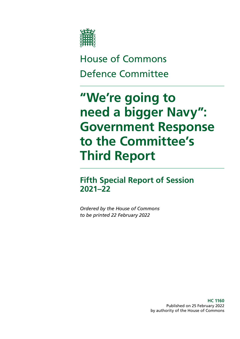

## House of Commons Defence Committee

# **"We're going to need a bigger Navy": Government Response to the Committee's Third Report**

**Fifth Special Report of Session 2021–22**

*Ordered by the House of Commons to be printed 22 February 2022*

> **HC 1160** Published on 25 February 2022 by authority of the House of Commons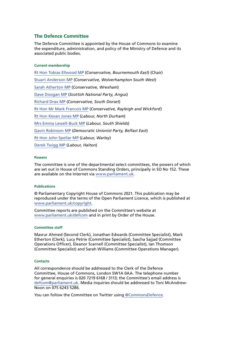#### **The Defence Committee**

The Defence Committee is appointed by the House of Commons to examine the expenditure, administration, and policy of the Ministry of Defence and its associated public bodies.

#### **Current membership**

[Rt Hon Tobias Ellwood MP](https://members.parliament.uk/member/1487/contact) (*Conservative, Bournemouth East*) (Chair) [Stuart Anderson MP](https://members.parliament.uk/member/4742/contact) (*Conservative, Wolverhampton South West*) [Sarah Atherton MP](https://members.parliament.uk/member/4855/contact) (*Conservative, Wrexham*) [Dave Doogan MP](https://members.parliament.uk/member/4736/contact) (*Scottish National Party, Angus*) [Richard Drax MP](https://members.parliament.uk/member/4132/contact) (*Conservative, South Dorset*) [Rt Hon Mr Mark Francois MP](https://members.parliament.uk/member/1444/contact) (*Conservative, Rayleigh and Wickford*) [Rt Hon Kevan Jones MP](https://members.parliament.uk/member/1438/contact) (*Labour, North Durham*) [Mrs Emma Lewell-Buck MP](https://members.parliament.uk/member/4277/contact) (*Labour, South Shields*) [Gavin Robinson MP](https://members.parliament.uk/member/4360/contact) (*Democratic Unionist Party, Belfast East*) [Rt Hon John Spellar MP](https://members.parliament.uk/member/318/contact) (*Labour, Warley*) [Derek Twigg MP](https://members.parliament.uk/member/429/contact) (*Labour, Halton*)

#### **Powers**

The committee is one of the departmental select committees, the powers of which are set out in House of Commons Standing Orders, principally in SO No 152. These are available on the Internet via [www.parliament.uk.](https://www.parliament.uk/)

#### **Publications**

© Parliamentary Copyright House of Commons 2021. This publication may be reproduced under the terms of the Open Parliament Licence, which is published at [www.parliament.uk/copyright](https://www.parliament.uk/copyright).

Committee reports are published on the Committee's website at [www.parliament.uk/defcom](https://committees.parliament.uk/committee/24/defence-committee/publications/) and in print by Order of the House.

#### **Committee staff**

Masrur Ahmed (Second Clerk), Jonathan Edwards (Committee Specialist), Mark Etherton (Clerk), Lucy Petrie (Committee Specialist), Sascha Sajjad (Committee Operations Officer), Eleanor Scarnell (Committee Specialist), Ian Thomson (Committee Specialist) and Sarah Williams (Committee Operations Manager).

#### **Contacts**

All correspondence should be addressed to the Clerk of the Defence Committee, House of Commons, London SW1A 0AA. The telephone number for general enquiries is 020 7219 6168 / 3113; the Committee's email address is [defcom@parliament.uk](mailto:defcom%40parliament.uk?subject=). Media inquiries should be addressed to Toni McAndrew-Noon on 075 6243 5286.

You can follow the Committee on Twitter using [@CommonsDefence.](https://twitter.com/CommonsDefence?ref_src=twsrc%5Egoogle%7Ctwcamp%5Eserp%7Ctwgr%5Eauthor)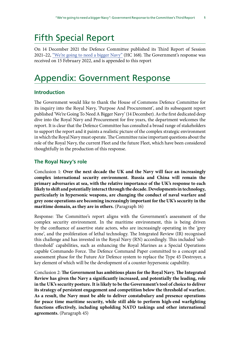## Fifth Special Report

On 14 December 2021 the Defence Committee published its Third Report of Session 2021–22, ["We're going to need a bigger Navy"](https://publications.parliament.uk/pa/cm5802/cmselect/cmdfence/168/summary.html) (HC 168). The Government's response was received on 15 February 2022, and is appended to this report

### Appendix: Government Response

#### **Introduction**

The Government would like to thank the House of Commons Defence Committee for its inquiry into the Royal Navy, 'Purpose And Procurement', and its subsequent report published 'We're Going To Need A Bigger Navy' (14 December). As the first dedicated deep dive into the Royal Navy and Procurement for five years, the department welcomes the report. It is clear that the Defence Committee has consulted a broad range of stakeholders to support the report and it paints a realistic picture of the complex strategic environment in which the Royal Navy must operate. The Committee raise important questions about the role of the Royal Navy, the current Fleet and the future Fleet, which have been considered thoughtfully in the production of this response.

#### **The Royal Navy's role**

Conclusion 1: **Over the next decade the UK and the Navy will face an increasingly complex international security environment. Russia and China will remain the primary adversaries at sea, with the relative importance of the UK's response to each likely to shift and potentially interact through the decade. Developments in technology, particularly in hypersonic weapons, are changing the conduct of naval warfare and grey zone operations are becoming increasingly important for the UK's security in the maritime domain, as they are in others.** (Paragraph 16)

Response: The Committee's report aligns with the Government's assessment of the complex security environment. In the maritime environment, this is being driven by the confluence of assertive state actors, who are increasingly operating in the 'grey zone', and the proliferation of lethal technology. The Integrated Review (IR) recognised this challenge and has invested in the Royal Navy (RN) accordingly. This included 'subthreshold' capabilities, such as enhancing the Royal Marines as a Special Operations capable Commando Force. The Defence Command Paper committed to a concept and assessment phase for the Future Air Defence system to replace the Type 45 Destroyer, a key element of which will be the development of a counter-hypersonic capability.

Conclusion 2: **The Government has ambitious plans for the Royal Navy. The Integrated Review has given the Navy a significantly increased, and potentially the leading, role in the UK's security posture. It is likely to be the Government's tool of choice to deliver its strategy of persistent engagement and competition below the threshold of warfare. As a result, the Navy must be able to deliver constabulary and presence operations for peace time maritime security, while still able to perform high-end warfighting functions effectively, including upholding NATO taskings and other international agreements.** (Paragraph 45)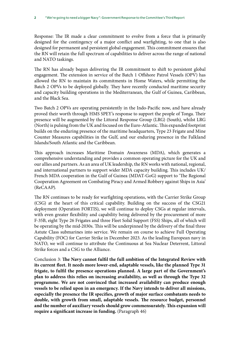Response: The IR made a clear commitment to evolve from a force that is primarily designed for the contingency of a major conflict and warfighting, to one that is also designed for permanent and persistent global engagement. This commitment ensures that the RN will retain the full spectrum of capabilities to deliver across the range of national and NATO taskings.

The RN has already begun delivering the IR commitment to shift to persistent global engagement. The extension in service of the Batch 1 Offshore Patrol Vessels (OPV) has allowed the RN to maintain its commitments in Home Waters, while permitting the Batch 2 OPVs to be deployed globally. They have recently conducted maritime security and capacity building operations in the Mediterranean, the Gulf of Guinea, Caribbean, and the Black Sea.

Two Batch 2 OPVs are operating persistently in the Indo-Pacific now, and have already proved their worth through HMS SPEY's response to support the people of Tonga. Their presence will be augmented by the Littoral Response Group (LRG) (South), whilst LRG (North) is pulsing from the UK and focused on the Euro-Atlantic. This expanded footprint builds on the enduring presence of the maritime headquarters, Type 23 Frigate and Mine Counter Measures capabilities in the Gulf, and our enduring presence in the Falkland Islands/South Atlantic and the Caribbean.

This approach increases Maritime Domain Awareness (MDA), which generates a comprehensive understanding and provides a common operating picture for the UK and our allies and partners. As an area of UK leadership, the RN works with national, regional, and international partners to support wider MDA capacity building. This includes UK/ French MDA cooperation in the Gulf of Guinea (MDAT-GoG) support to 'The Regional Cooperation Agreement on Combating Piracy and Armed Robbery against Ships in Asia' (ReCAAP).

The RN continues to be ready for warfighting operations, with the Carrier Strike Group (CSG) at the heart of this critical capability. Building on the success of the CSG21 deployment (Operation FORTIS), we will continue to deploy CSGs at regular intervals, with even greater flexibility and capability being delivered by the procurement of more F-35B, eight Type 26 Frigates and three Fleet Solid Support (FSS) Ships, all of which will be operating by the mid-2030s. This will be underpinned by the delivery of the final three Astute Class submarines into service. We remain on course to achieve Full Operating Capability (FOC) for Carrier Strike in December 2023. As the leading European navy in NATO, we will continue to attribute the Continuous at Sea Nuclear Deterrent, Littoral Strike forces and a CSG to the Alliance.

Conclusion 3: **The Navy cannot fulfil the full ambition of the Integrated Review with its current fleet. It needs more lower-end, adaptable vessels, like the planned Type 31 frigate, to fulfil the presence operations planned. A large part of the Government's plan to address this relies on increasing availability, as well as through the Type 32 programme. We are not convinced that increased availability can produce enough vessels to be relied upon in an emergency. If the Navy intends to deliver all missions, especially the presence the IR specifies, growth of major surface combatants needs to double, with growth from small, adaptable vessels. The resource budget, personnel and the number of auxiliary vessels should grow commensurately. This expansion will require a significant increase in funding.** (Paragraph 46)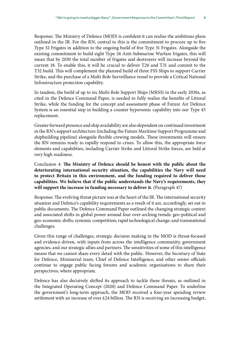Response: The Ministry of Defence (MOD) is confident it can realise the ambitious plans outlined in the IR. For the RN, central to this is the commitment to procure up to five Type 32 Frigates in addition to the ongoing build of five Type 31 Frigates. Alongside the existing commitment to build eight Type 26 Anti-Submarine Warfare frigates, this will mean that by 2030 the total number of frigates and destroyers will increase beyond the current 18. To enable this, it will be crucial to deliver T26 and T31 and commit to the T32 build. This will complement the planned build of three FSS Ships to support Carrier Strike, and the purchase of a Multi Role Surveillance vessel to provide a Critical National Infrastructure protection capability.

In tandem, the build of up to six Multi-Role Support Ships (MRSS) in the early 2030s, as cited in the Defence Command Paper, is needed to fully realise the benefits of Littoral Strike, while the funding for the concept and assessment phase of Future Air Defence System is an essential step in building a counter hypersonic capability into our Type 45 replacement.

Greater forward presence and ship availability are also dependent on continued investment in the RN's support architecture (including the Future Maritime Support Programme and shipbuilding pipeline) alongside flexible crewing models. These investments will ensure the RN remains ready to rapidly respond to crises. To allow this, the appropriate force elements and capabilities, including Carrier Strike and Littoral Strike forces, are held at very high readiness.

Conclusion 4: **The Ministry of Defence should be honest with the public about the deteriorating international security situation, the capabilities the Navy will need to protect Britain in this environment, and the funding required to deliver those capabilities. We believe that if the public understands the Navy's requirements, they will support the increase in funding necessary to deliver it.** (Paragraph 47)

Response: The evolving threat picture was at the heart of the IR. The international security situation and Defence's capability requirements as a result of it are, accordingly, set out in public documents. The Defence Command Paper outlined the changing strategic context and associated shifts in global power around four over-arching trends: geo-political and geo-economic shifts; systemic competition; rapid technological change; and transnational challenges.

Given this range of challenges, strategic decision making in the MOD is threat-focused and evidence-driven, with inputs from across the intelligence community, government agencies, and our strategic allies and partners. The sensitivities of some of this intelligence means that we cannot share every detail with the public. However, the Secretary of State for Defence, Ministerial team, Chief of Defence Intelligence, and other senior officials continue to engage public facing forums and academic organisations to share their perspectives, where appropriate.

Defence has also decisively shifted its approach to tackle these threats, as outlined in the Integrated Operating Concept (2020) and Defence Command Paper. To underline the government's long-term approach, the MOD received a four-year spending review settlement with an increase of over £24 billion. The RN is receiving an increasing budget,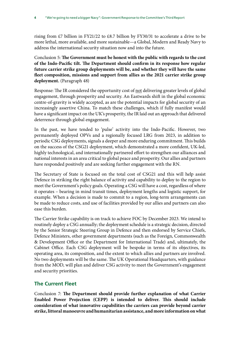rising from £7 billion in FY21/22 to £8.7 billion by FY30/31 to accelerate a drive to be more lethal, more available, and more sustainable—a Global, Modern and Ready Navy to address the international security situation now and into the future.

Conclusion 5: **The Government must be honest with the public with regards to the cost of the Indo-Pacific tilt. The Department should confirm in its response how regular future carrier strike group deployments will be, and whether they will have the same fleet composition, missions and support from allies as the 2021 carrier strike group deployment.** (Paragraph 48)

Response: The IR considered the opportunity cost of not delivering greater levels of global engagement, through prosperity and security. An Eastwards shift in the global economic centre-of-gravity is widely accepted, as are the potential impacts for global security of an increasingly assertive China. To match these challenges, which if fully manifest would have a significant impact on the UK's prosperity, the IR laid out an approach that delivered deterrence through global engagement.

In the past, we have tended to 'pulse' activity into the Indo-Pacific. However, two permanently deployed OPVs and a regionally focused LRG from 2023, in addition to periodic CSG deployments, signals a deeper and more enduring commitment. This builds on the success of the CSG21 deployment, which demonstrated a more confident, UK-led, highly technological, and internationally partnered effort to strengthen our alliances and national interests in an area critical to global peace and prosperity. Our allies and partners have responded positively and are seeking further engagement with the RN.

The Secretary of State is focused on the total cost of CSG21 and this will help assist Defence in striking the right balance of activity and capability to deploy to the region to meet the Government's policy goals. Operating a CSG will have a cost, regardless of where it operates – bearing in mind transit times, deployment lengths and logistic support, for example. When a decision is made to commit to a region, long-term arrangements can be made to reduce costs, and use of facilities provided by our allies and partners can also ease this burden.

The Carrier Strike capability is on track to achieve FOC by December 2023. We intend to routinely deploy a CSG annually; the deployment schedule is a strategic decision, directed by the Senior Strategic Steering Group in Defence and then endorsed by Service Chiefs, Defence Ministers, other government departments (such as the Foreign, Commonwealth & Development Office or the Department for International Trade) and, ultimately, the Cabinet Office. Each CSG deployment will be bespoke in terms of its objectives, its operating area, its composition, and the extent to which allies and partners are involved. No two deployments will be the same. The UK Operational Headquarters, with guidance from the MOD, will plan and deliver CSG activity to meet the Government's engagement and security priorities.

#### **The Current Fleet**

Conclusion 7: **The Department should provide further explanation of what Carrier Enabled Power Projection (CEPP) is intended to deliver. This should include consideration of what innovative capabilities the carriers can provide beyond carrier strike, littoral manoeuvre and humanitarian assistance, and more information on what**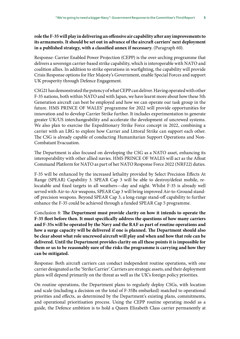#### **role the F-35 will play in delivering an offensive air capability after any improvements to its armaments. It should be set out in advance of the aircraft carriers' next deployment in a published strategy, with a classified annex if necessary.** (Paragraph 60).

Response: Carrier Enabled Power Projection (CEPP) is the over-arching programme that delivers a sovereign carrier-based strike capability, which is interoperable with NATO and coalition allies. In addition to strike operations in warfighting, the capability will provide Crisis Response options for Her Majesty's Government, enable Special Forces and support UK prosperity through Defence Engagement.

CSG21 has demonstrated the potency of what CEPP can deliver. Having operated with other F-35 nations, both within NATO and with Japan, we have learnt more about how these 5th Generation aircraft can best be employed and how we can operate our task group in the future. HMS PRINCE OF WALES' programme for 2022 will provide opportunities for innovation and to develop Carrier Strike further. It includes experimentation to generate greater UK/US interchangeability and accelerate the development of uncrewed systems. We also plan to exercise the Expeditionary Strike Force concept in 2022, combining a carrier with an LRG to explore how Carrier and Littoral Strike can support each other. The CSG is already capable of conducting Humanitarian Support Operations and Non-Combatant Evacuation.

The Department is also focused on developing the CSG as a NATO asset, enhancing its interoperability with other allied navies. HMS PRINCE OF WALES will act as the Afloat Command Platform for NATO as part of her NATO Response Force 2022 (NRF22) duties.

F-35 will be enhanced by the increased lethality provided by Select Precision Effects At Range (SPEAR) Capability 3. SPEAR Cap 3 will be able to destroy/defeat mobile, relocatable and fixed targets in all weathers—day and night. Whilst F-35 is already well served with Air-to-Air weapons, SPEAR Cap 3 will bring improved Air-to-Ground standoff precision weapons. Beyond SPEAR Cap 3, a long-range stand-off capability to further enhance the F-35 could be achieved through a funded SPEAR Cap 5 programme.

Conclusion 8: **The Department must provide clarity on how it intends to operate the F-35 fleet before then. It must specifically address the questions of how many carriers and F-35s will be operated by the Navy and the RAF as part of routine operations and how a surge capacity will be delivered if one is planned. The Department should also be clear about what role uncrewed aircraft will play and when and how that role can be delivered. Until the Department provides clarity on all these points it is impossible for them or us to be reasonably sure of the risks the programme is carrying and how they can be mitigated.**

Response: Both aircraft carriers can conduct independent routine operations, with one carrier designated as the 'Strike Carrier'. Carriers are strategic assets, and their deployment plans will depend primarily on the threat as well as the UK's foreign policy priorities.

On routine operations, the Department plans to regularly deploy CSGs, with location and scale (including a decision on the total of F-35Bs embarked) matched to operational priorities and effects, as determined by the Department's existing plans, commitments, and operational prioritisation process. Using the CEPP routine operating model as a guide, the Defence ambition is to hold a Queen Elizabeth Class carrier permanently at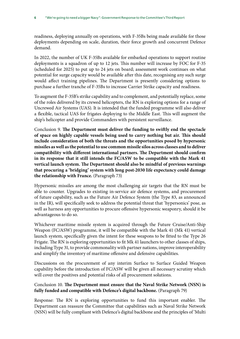readiness, deploying annually on operations, with F-35Bs being made available for those deployments depending on scale, duration, their force growth and concurrent Defence demand.

In 2022, the number of UK F-35Bs available for embarked operations to support routine deployments is a squadron of up to 12 jets. This number will increase by FOC for F-35 (scheduled for 2025) to put up to 24 jets on board; assessment work continues on what potential for surge capacity would be available after this date, recognising any such surge would affect training pipelines. The Department is presently considering options to purchase a further tranche of F-35Bs to increase Carrier Strike capacity and readiness.

To augment the F-35B's strike capability and to complement, and potentially replace, some of the roles delivered by its crewed helicopters, the RN is exploring options for a range of Uncrewed Air Systems (UAS). It is intended that the funded programme will also deliver a flexible, tactical UAS for frigates deploying to the Middle East. This will augment the ship's helicopter and provide Commanders with persistent surveillance.

Conclusion 9. **The Department must deliver the funding to swiftly end the spectacle of space on highly capable vessels being used to carry nothing but air. This should include consideration of both the threats and the opportunities posed by hypersonic missiles as well as the potential to use common missile silos across classes and to deliver compatibility with different international partners. The Department should confirm in its response that it still intends the FC/ASW to be compatible with the Mark 41 vertical launch system. The Department should also be mindful of previous warnings that procuring a 'bridging' system with long post-2030 life expectancy could damage the relationship with France.** (Paragraph 73)

Hypersonic missiles are among the most challenging air targets that the RN must be able to counter. Upgrades to existing in-service air defence systems, and procurement of future capability, such as the Future Air Defence System (the Type 83, as announced in the IR), will specifically seek to address the potential threat that 'hypersonics' pose, as well as harness any opportunities to procure offensive hypersonic weaponry, should it be advantageous to do so.

Whichever maritime missile system is acquired through the Future Cruise/Anti-Ship Weapon (FC/ASW) programme, it will be compatible with the Mark 41 (Mk 41) vertical launch system, specifically given the intent for these weapons to be fitted to the Type 26 Frigate. The RN is exploring opportunities to fit Mk 41 launchers to other classes of ships, including Type 31, to provide commonality with partner nations, improve interoperability and simplify the inventory of maritime offensive and defensive capabilities.

Discussions on the procurement of any interim Surface to Surface Guided Weapon capability before the introduction of FC/ASW will be given all necessary scrutiny which will cover the positives and potential risks of all procurement solutions.

#### Conclusion 10. **The Department must ensure that the Naval Strike Network (NSN) is fully funded and compatible with Defence's digital backbone.** (Paragraph 79)

Response: The RN is exploring opportunities to fund this important enabler. The Department can reassure the Committee that capabilities such as Naval Strike Network (NSN) will be fully compliant with Defence's digital backbone and the principles of 'Multi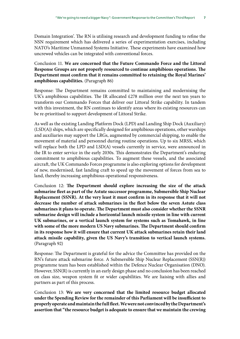Domain Integration'. The RN is utilising research and development funding to refine the NSN requirement which has delivered a series of experimentation exercises, including NATO's Maritime Unmanned Systems Initiative. These experiments have examined how uncrewed vehicles can be integrated with conventional forces.

Conclusion 11. **We are concerned that the Future Commando Force and the Littoral Response Groups are not properly resourced to continue amphibious operations. The Department must confirm that it remains committed to retaining the Royal Marines' amphibious capabilities.** (Paragraph 86)

Response: The Department remains committed to maintaining and modernising the UK's amphibious capabilities. The IR allocated  $£278$  million over the next ten years to transform our Commando Forces that deliver our Littoral Strike capability. In tandem with this investment, the RN continues to identify areas where its existing resources can be re-prioritised to support development of Littoral Strike.

As well as the existing Landing Platform Dock (LPD) and Landing Ship Dock (Auxiliary) (LSD(A)) ships, which are specifically designed for amphibious operations, other warships and auxiliaries may support the LRGs, augmented by commercial shipping, to enable the movement of material and personnel during routine operations. Up to six MRSS, which will replace both the LPD and LSD(A) vessels currently in service, were announced in the IR to enter service in the early 2030s. This demonstrates the Department's enduring commitment to amphibious capabilities. To augment these vessels, and the associated aircraft, the UK Commando Forces programme is also exploring options for development of new, modernised, fast landing craft to speed up the movement of forces from sea to land, thereby increasing amphibious operational responsiveness.

Conclusion 12: **The Department should explore increasing the size of the attack submarine fleet as part of the Astute successor programme, Submersible Ship Nuclear Replacement (SSNR). At the very least it must confirm in its response that it will not decrease the number of attack submarines in the fleet below the seven Astute class submarines it plans to operate. The Department must also consider whether the SSNR submarine design will include a horizontal launch missile system in line with current UK submarines, or a vertical launch system for systems such as Tomahawk, in line with some of the more modern US Navy submarines. The Department should confirm in its response how it will ensure that current UK attack submarines retain their land attack missile capability, given the US Navy's transition to vertical launch systems.** (Paragraph 92)

Response: The Department is grateful for the advice the Committee has provided on the RN's future attack submarine force. A Submersible Ship Nuclear Replacement (SSN(R)) programme team has been established within the Defence Nuclear Organisation (DNO). However, SSN(R) is currently in an early design phase and no conclusion has been reached on class size, weapon system fit or wider capabilities. We are liaising with allies and partners as part of this process.

Conclusion 13: **We are very concerned that the limited resource budget allocated under the Spending Review for the remainder of this Parliament will be insufficient to properly operate and maintain the full fleet. We were not convinced by the Department's assertion that "the resource budget is adequate to ensure that we maintain the crewing**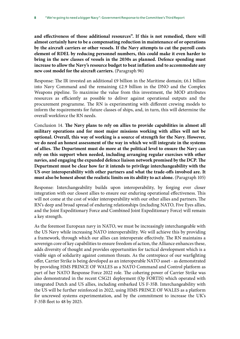**and effectiveness of those additional resources". If this is not remedied, there will almost certainly have to be a compensating reduction in maintenance of or operations by the aircraft carriers or other vessels. If the Navy attempts to cut the payroll costs element of RDEL by reducing personnel numbers, this could make it even harder to bring in the new classes of vessels in the 2030s as planned. Defence spending must increase to allow the Navy's resource budget to beat inflation and to accommodate any new cost model for the aircraft carriers.** (Paragraph 96)

Response: The IR invested an additional  $£9$  billion in the Maritime domain;  $£6.1$  billion into Navy Command and the remaining £2.9 billion in the DNO and the Complex Weapons pipeline. To maximise the value from this investment, the MOD attributes resources as efficiently as possible to deliver against operational outputs and the procurement programme. The RN is experimenting with different crewing models to inform the requirements for future classes of ships, and, in turn, this will determine the overall workforce the RN needs.

Conclusion 14. **The Navy plans to rely on allies to provide capabilities in almost all military operations and for most major missions working with allies will not be optional. Overall, this way of working is a source of strength for the Navy. However, we do need an honest assessment of the way in which we will integrate in the systems of allies. The Department must do more at the political level to ensure the Navy can rely on this support when needed, including arranging regular exercises with other navies, and engaging the expanded defence liaison network promised by the DCP. The Department must be clear how far it intends to privilege interchangeability with the US over interoperability with other partners and what the trade-offs involved are. It must also be honest about the realistic limits on its ability to act alone.** (Paragraph 105)

Response: Interchangeability builds upon interoperability, by forging ever closer integration with our closest allies to ensure our enduring operational effectiveness. This will not come at the cost of wider interoperability with our other allies and partners. The RN's deep and broad spread of enduring relationships (including NATO, Five Eyes allies, and the Joint Expeditionary Force and Combined Joint Expeditionary Force) will remain a key strength.

As the foremost European navy in NATO, we must be increasingly interchangeable with the US Navy while increasing NATO interoperability. We will achieve this by providing a framework, through which our allies can interoperate effectively. The RN maintains a sovereign core of key capabilities to ensure freedom of action, the Alliance enhances these, adds diversity of thought and provides opportunities for tactical development which is a visible sign of solidarity against common threats. As the centrepiece of our warfighting offer, Carrier Strike is being developed as an interoperable NATO asset - as demonstrated by providing HMS PRINCE OF WALES as a NATO Command and Control platform as part of her NATO Response Force 2022 role. The cohering power of Carrier Strike was also demonstrated in the recent CSG21 deployment (Op FORTIS) which operated with integrated Dutch and US allies, including embarked US F-35B. Interchangeability with the US will be further reinforced in 2022, using HMS PRINCE OF WALES as a platform for uncrewed systems experimentation, and by the commitment to increase the UK's F-35B fleet to 48 by 2025.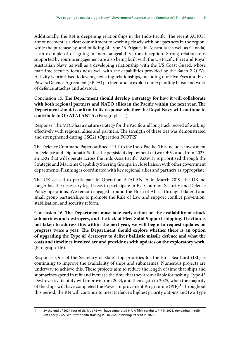Additionally, the RN is deepening relationships in the Indo-Pacific. The recent AUKUS announcement is a clear commitment to working closely with our partners in the region, while the purchase by, and building of Type 26 Frigates in Australia (as well as Canada) is an example of designing-in interchangeability from inception. Strong relationships supported by routine engagement are also being built with the US Pacific Fleet and Royal Australian Navy, as well as a developing relationship with the US Coast Guard, whose maritime security focus nests well with the capabilities provided by the Batch 2 OPVs. Activity is prioritised to leverage existing relationships, including our Five Eyes and Five Powers Defence Agreement (FPDA) partners and to exploit our expanding liaison network of defence attachés and advisors.

Conclusion 15: **The Department should develop a strategy for how it will collaborate with both regional partners and NATO allies in the Pacific within the next year. The Department should confirm in its response whether the Royal Navy will continue to contribute to Op ATALANTA.** (Paragraph 111)

Response: The MOD has a mature strategy for the Pacific and long track record of working effectively with regional allies and partners. The strength of these ties was demonstrated and strengthened during CSG21 (Operation FORTIS).

The Defence Command Paper outlined a 'tilt' to the Indo-Pacific. This includes investment in Defence and Diplomatic Staffs, the persistent deployment of two OPVs and, from 2023, an LRG that will operate across the Indo-Asia Pacific. Activity is prioritised through the Strategic and Maritime Capability Steering Groups, in close liaison with other government departments. Planning is coordinated with key regional allies and partners as appropriate.

The UK ceased to participate in Operation ATALANTA in March 2019; the UK no longer has the necessary legal basis to participate in EU Common Security and Defence Policy operations. We remain engaged around the Horn of Africa through bilateral and small group partnerships to promote the Rule of Law and support conflict prevention, stabilisation, and security reform.

Conclusion 16: **The Department must take early action on the availability of attack submarines and destroyers, and the lack of Fleet Solid Support shipping. If action is not taken to address this within the next year, we will begin to request updates on progress twice a year. The Department should explore whether there is an option of upgrading the Type 45 destroyer to deliver ballistic missile defence and what the costs and timelines involved are and provide us with updates on the exploratory work.** (Paragraph 116).

Response: One of the Secretary of State's top priorities for the First Sea Lord (1SL) is continuing to improve the availability of ships and submarines. Numerous projects are underway to achieve this. These projects aim to reduce the length of time that ships and submarines spend in refit and increase the time that they are available for tasking. Type 45 Destroyer availability will improve from 2023, and then again in 2025, when the majority of the ships will have completed the Power Improvement Programme (PIP).<sup>1</sup> Throughout this period, the RN will continue to meet Defence's highest priority outputs and two Type

<sup>1</sup> By the end of 2024 four of six Type 45 will have completed PIP. A fifth conducts PIP in 2025, remaining in refit until early 2027, whilst the sixth starting PIP in 2026, finishing its refit in 2028.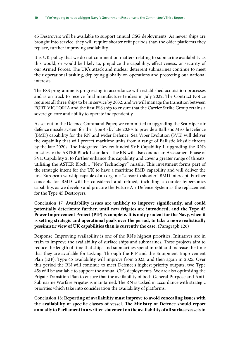45 Destroyers will be available to support annual CSG deployments. As newer ships are brought into service, they will require shorter refit periods than the older platforms they replace, further improving availability.

It is UK policy that we do not comment on matters relating to submarine availability as this would, or would be likely to, prejudice the capability, effectiveness, or security of our Armed Forces. The UK's attack and nuclear deterrent submarines continue to meet their operational tasking, deploying globally on operations and protecting our national interests.

The FSS programme is progressing in accordance with established acquisition processes and is on track to receive final manufacture tenders in July 2022. The Contract Notice requires all three ships to be in service by 2032, and we will manage the transition between FORT VICTORIA and the first FSS ship to ensure that the Carrier Strike Group retains a sovereign core and ability to operate independently.

As set out in the Defence Command Paper, we committed to upgrading the Sea Viper air defence missile system for the Type 45 by late 2020s to provide a Ballistic Missile Defence (BMD) capability for the RN and wider Defence. Sea Viper Evolution (SVE) will deliver the capability that will protect maritime units from a range of Ballistic Missile threats by the late 2020s. The Integrated Review funded SVE Capability 1, upgrading the RN's missiles to the ASTER Block 1 standard. The RN will also conduct an Assessment Phase of SVE Capability 2, to further enhance this capability and cover a greater range of threats, utilising the ASTER Block 1 "New Technology" missile. This investment forms part of the strategic intent for the UK to have a maritime BMD capability and will deliver the first European warship capable of an organic "sensor to shooter" BMD intercept. Further concepts for BMD will be considered and refined, including a counter-hypersonics capability, as we develop and procure the Future Air Defence System as the replacement for the Type 45 Destroyers.

Conclusion 17: **Availability issues are unlikely to improve significantly, and could potentially deteriorate further, until new frigates are introduced, and the Type 45 Power Improvement Project (PIP) is complete. It is only prudent for the Navy, when it is setting strategic and operational goals over the period, to take a more realistically pessimistic view of UK capabilities than is currently the case.** (Paragraph 126)

Response: Improving availability is one of the RN's highest priorities. Initiatives are in train to improve the availability of surface ships and submarines. These projects aim to reduce the length of time that ships and submarines spend in refit and increase the time that they are available for tasking. Through the PIP and the Equipment Improvement Plan (EIP), Type 45 availability will improve from 2023, and then again in 2025. Over this period the RN will continue to meet Defence's highest priority outputs; two Type 45s will be available to support the annual CSG deployments. We are also optimising the Frigate Transition Plan to ensure that the availability of both General Purpose and Anti-Submarine Warfare Frigates is maintained. The RN is tasked in accordance with strategic priorities which take into consideration the availability of platforms.

Conclusion 18: **Reporting of availability must improve to avoid concealing issues with the availability of specific classes of vessel. The Ministry of Defence should report annually to Parliament in a written statement on the availability of all surface vessels in**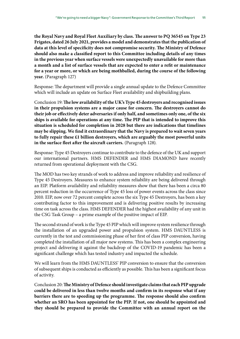**the Royal Navy and Royal Fleet Auxiliary by class. The answer to PQ 36545 on Type 23 Frigates, dated 26 July 2021, provides a model and demonstrates that the publication of data at this level of specificity does not compromise security. The Ministry of Defence should also make a classified report to this Committee including details of any times in the previous year when surface vessels were unexpectedly unavailable for more than a month and a list of surface vessels that are expected to enter a refit or maintenance for a year or more, or which are being mothballed, during the course of the following year.** (Paragraph 127)

Response: The department will provide a single annual update to the Defence Committee which will include an update on Surface Fleet availability and shipbuilding plans.

Conclusion 19: **The low availability of the UK's Type 45 destroyers and recognised issues in their propulsion systems are a major cause for concern. The destroyers cannot do their job or effectively deter adversaries if only half, and sometimes only one, of the six ships is available for operations at any time. The PIP that is intended to improve this situation is scheduled for completion in 2028 but there are indications that timelines may be slipping. We find it extraordinary that the Navy is prepared to wait seven years to fully repair these £1 billion destroyers, which are arguably the most powerful units in the surface fleet after the aircraft carriers.** (Paragraph 128).

Response: Type 45 Destroyers continue to contribute to the defence of the UK and support our international partners. HMS DEFENDER and HMS DIAMOND have recently returned from operational deployment with the CSG.

The MOD has two key strands of work to address and improve reliability and resilience of Type 45 Destroyers. Measures to enhance system reliability are being delivered through an EIP. Platform availability and reliability measures show that there has been a circa 80 percent reduction in the occurrence of Type 45 loss of power events across the class since 2010. EIP, now over 72 percent complete across the six Type 45 Destroyers, has been a key contributing factor to this improvement and is delivering positive results by increasing time on task across the class. HMS DEFENDER had the highest availability of any unit in the CSG Task Group – a prime example of the positive impact of EIP.

The second strand of work is the Type 45 PIP which will improve system resilience through the installation of an upgraded power and propulsion system. HMS DAUNTLESS is currently in the test and commissioning phase of her first of class PIP conversion, having completed the installation of all major new systems. This has been a complex engineering project and delivering it against the backdrop of the COVID-19 pandemic has been a significant challenge which has tested industry and impacted the schedule.

We will learn from the HMS DAUNTLESS' PIP conversion to ensure that the conversion of subsequent ships is conducted as efficiently as possible. This has been a significant focus of activity.

Conclusion 20: **The Ministry of Defence should investigate claims that each PIP upgrade could be delivered in less than twelve months and confirm in its response what if any barriers there are to speeding up the programme. The response should also confirm whether an SRO has been appointed for the PIP. If not, one should be appointed and they should be prepared to provide the Committee with an annual report on the**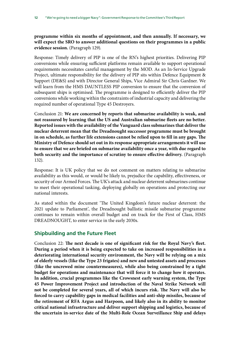**programme within six months of appointment, and then annually. If necessary, we will expect the SRO to answer additional questions on their programmes in a public evidence session.** (Paragraph 129).

Response: Timely delivery of PIP is one of the RN's highest priorities. Delivering PIP conversions while ensuring sufficient platforms remain available to support operational requirements necessitates careful management by the MOD. As an In-Service Upgrade Project, ultimate responsibility for the delivery of PIP sits within Defence Equipment & Support (DE&S) and with Director General Ships, Vice Admiral Sir Chris Gardner. We will learn from the HMS DAUNTLESS PIP conversion to ensure that the conversion of subsequent ships is optimised. The programme is designed to efficiently deliver the PIP conversions while working within the constraints of industrial capacity and delivering the required number of operational Type 45 Destroyers.

Conclusion 21: **We are concerned by reports that submarine availability is weak, and not reassured by learning that the US and Australian submarine fleets are no better. Reported issues with the availability of the Vanguard class submarines that deliver the nuclear deterrent mean that the Dreadnought successor programme must be brought in on schedule, as further life extensions cannot be relied upon to fill in any gaps. The Ministry of Defence should set out in its response appropriate arrangements it will use to ensure that we are briefed on submarine availability once a year, with due regard to both security and the importance of scrutiny to ensure effective delivery.** (Paragraph 132).

Response: It is UK policy that we do not comment on matters relating to submarine availability as this would, or would be likely to, prejudice the capability, effectiveness, or security of our Armed Forces. The UK's attack and nuclear deterrent submarines continue to meet their operational tasking, deploying globally on operations and protecting our national interests.

As stated within the document 'The United Kingdom's future nuclear deterrent: the 2021 update to Parliament', the Dreadnought ballistic missile submarine programme continues to remain within overall budget and on track for the First of Class, HMS DREADNOUGHT, to enter service in the early 2030s.

#### **Shipbuilding and the Future Fleet**

Conclusion 22: **The next decade is one of significant risk for the Royal Navy's fleet. During a period when it is being expected to take on increased responsibilities in a deteriorating international security environment, the Navy will be relying on a mix of elderly vessels (like the Type 23 frigates) and new and untested assets and processes (like the uncrewed mine countermeasures), while also being constrained by a tight budget for operations and maintenance that will force it to change how it operates. In addition, crucial programmes like the Crowsnest early warning system, the Type 45 Power Improvement Project and introduction of the Naval Strike Network will not be completed for several years, all of which incurs risk. The Navy will also be forced to carry capability gaps in medical facilities and anti-ship missiles, because of the retirement of RFA Argus and Harpoon, and likely also in its ability to monitor critical national infrastructure and deliver support shipping and logistics, because of the uncertain in-service date of the Multi-Role Ocean Surveillance Ship and delays**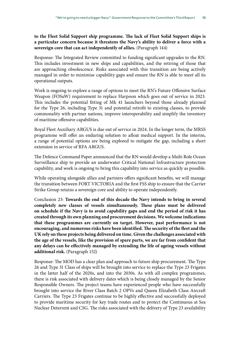#### **to the Fleet Solid Support ship programme. The lack of Fleet Solid Support ships is a particular concern because it threatens the Navy's ability to deliver a force with a sovereign core that can act independently of allies.** (Paragraph 144)

Response: The Integrated Review committed to funding significant upgrades to the RN. This includes investment in new ships and capabilities, and the retiring of those that are approaching obsolescence. Risks associated with this transition are being actively managed in order to minimise capability gaps and ensure the RN is able to meet all its operational outputs.

Work is ongoing to explore a range of options to meet the RN's Future Offensive Surface Weapon (FOSuW) requirement to replace Harpoon which goes out of service in 2023. This includes the potential fitting of Mk 41 launchers beyond those already planned for the Type 26, including Type 31 and potential retrofit to existing classes, to provide commonality with partner nations, improve interoperability and simplify the inventory of maritime offensive capabilities.

Royal Fleet Auxiliary ARGUS is due out of service in 2024. In the longer term, the MRSS programme will offer an enduring solution to afloat medical support. In the interim, a range of potential options are being explored to mitigate the gap, including a short extension in service of RFA ARGUS.

The Defence Command Paper announced that the RN would develop a Multi Role Ocean Surveillance ship to provide an underwater Critical National Infrastructure protection capability, and work is ongoing to bring this capability into service as quickly as possible.

While operating alongside allies and partners offers significant benefits, we will manage the transition between FORT VICTORIA and the first FSS ship to ensure that the Carrier Strike Group retains a sovereign core and ability to operate independently.

Conclusion 23: **Towards the end of this decade the Navy intends to bring in several completely new classes of vessels simultaneously. These plans must be delivered on schedule if the Navy is to avoid capability gaps and end the period of risk it has created through its own planning and procurement decisions. We welcome indications that these programmes are currently on target. However, past performance is not encouraging, and numerous risks have been identified. The security of the fleet and the UK rely on these projects being delivered on time. Given the challenges associated with the age of the vessels, like the provision of spare parts, we are far from confident that any delays can be effectively managed by extending the life of ageing vessels without additional risk.** (Paragraph 152)

Response: The MOD has a clear plan and approach to future ship procurement. The Type 26 and Type 31 Class of ships will be brought into service to replace the Type 23 Frigates in the latter half of the 2020s, and into the 2030s. As with all complex programmes, there is risk associated with delivery dates which is being closely managed by the Senior Responsible Owners. The project teams have experienced people who have successfully brought into service the River Class Batch 2 OPVs and Queen Elizabeth Class Aircraft Carriers. The Type 23 Frigates continue to be highly effective and successfully deployed to provide maritime security for key trade routes and to protect the Continuous at Sea Nuclear Deterrent and CSG. The risks associated with the delivery of Type 23 availability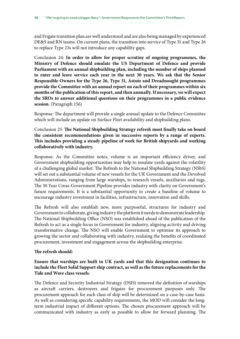and Frigate transition plan are well understood and are also being managed by experienced DE&S and RN teams. On current plans, the transition into service of Type 31 and Type 26 to replace Type 23s will not introduce any capability gaps.

Conclusion 24: **In order to allow for proper scrutiny of ongoing programmes, the Ministry of Defence should emulate the US Department of Defence and provide Parliament with an annual shipbuilding plan, including the number of ships planned to enter and leave service each year in the next 30 years. We ask that the Senior Responsible Owners for the Type 26, Type 31, Astute and Dreadnought programmes provide the Committee with an annual report on each of their programmes within six months of the publication of this report, and then annually. If necessary, we will expect the SROs to answer additional questions on their programmes in a public evidence session.** (Paragraph 156)

Response: The department will provide a single annual update to the Defence Committee which will include an update on Surface Fleet availability and shipbuilding plans.

#### Conclusion 25: **The National Shipbuilding Strategy refresh must finally take on board the consistent recommendations given in successive reports by a range of experts. This includes providing a steady pipeline of work for British shipyards and working collaboratively with industry.**

Response: As the Committee notes, volume is an important efficiency driver, and Government shipbuilding opportunities may help to insulate yards against the volatility of a challenging global market. The Refresh to the National Shipbuilding Strategy (NSbS) will set out a substantial volume of new vessels for the UK Government and the Devolved Administrations, ranging from large warships, to research vessels, auxiliaries and tugs. The 30 Year Cross-Government Pipeline provides industry with clarity on Government's future requirements. It is a substantial opportunity to create a baseline of volume to encourage industry investment in facilities, infrastructure, innovation and skills.

The Refresh will also establish new, more purposeful, structures for industry and Government to collaborate, giving industry the platform it needs to demonstrate leadership. The National Shipbuilding Office (NSO) was established ahead of the publication of the Refresh to act as a single focus in Government for industry, aligning activity and driving transformative change. The NSO will enable Government to optimise its approach to growing the sector and collaborating with industry, realising the benefits of coordinated procurement, investment and engagement across the shipbuilding enterprise.

#### **The refresh should:**

#### **Ensure that warships are built in UK yards and that this designation continues to include the Fleet Solid Support ship contract, as well as the future replacements for the Tide and Wave class vessels.**

The Defence and Security Industrial Strategy (DSIS) removed the definition of warships as aircraft carriers, destroyers and frigates for procurement purposes only. The procurement approach for each class of ship will be determined on a case-by-case basis. As well as considering specific capability requirements, the MOD will consider the longterm industrial impact of different options. The chosen procurement approach will be communicated with industry as early as possible to allow for forward planning. The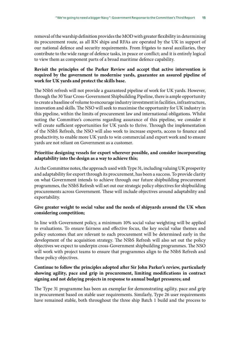removal of the warship definition provides the MOD with greater flexibility in determining its procurement route, as all RN ships and RFAs are operated by the UK in support of our national defence and security requirements. From frigates to naval auxiliaries, they contribute to the wide range of defence tasks, in peace or conflict; and it is entirely logical to view them as component parts of a broad maritime defence capability.

#### **Revisit the principles of the Parker Review and accept that active intervention is required by the government to modernise yards, guarantee an assured pipeline of work for UK yards and protect the skills base.**

The NSbS refresh will not provide a guaranteed pipeline of work for UK yards. However, through the 30 Year Cross-Government Shipbuilding Pipeline, there is ample opportunity to create a baseline of volume to encourage industry investment in facilities, infrastructure, innovation and skills. The NSO will seek to maximise the opportunity for UK industry in this pipeline, within the limits of procurement law and international obligations. Whilst noting the Committee's concerns regarding assurance of this pipeline, we consider it will create sufficient opportunities for UK yards to thrive. Through the implementation of the NSbS Refresh, the NSO will also work to increase exports, access to finance and productivity, to enable more UK yards to win commercial and export work and to ensure yards are not reliant on Government as a customer.

#### **Prioritise designing vessels for export wherever possible, and consider incorporating adaptability into the design as a way to achieve this;**

As the Committee notes, the approach used with Type 31, including valuing UK prosperity and adaptability for export through its procurement, has been a success. To provide clarity on what Government intends to achieve through our future shipbuilding procurement programmes, the NSbS Refresh will set out our strategic policy objectives for shipbuilding procurements across Government. These will include objectives around adaptability and exportability.

#### **Give greater weight to social value and the needs of shipyards around the UK when considering competition;**

In line with Government policy, a minimum 10% social value weighting will be applied to evaluations. To ensure fairness and effective focus, the key social value themes and policy outcomes that are relevant to each procurement will be determined early in the development of the acquisition strategy. The NSbS Refresh will also set out the policy objectives we expect to underpin cross-Government shipbuilding programmes. The NSO will work with project teams to ensure that programmes align to the NSbS Refresh and these policy objectives.

#### **Continue to follow the principles adopted after Sir John Parker's review, particularly showing agility, pace and grip in procurement, limiting modifications in contract signing and not delaying projects in response to annual budget pressures; and**

The Type 31 programme has been an exemplar for demonstrating agility, pace and grip in procurement based on stable user requirements. Similarly, Type 26 user requirements have remained stable, both throughout the three ship Batch 1 build and the process to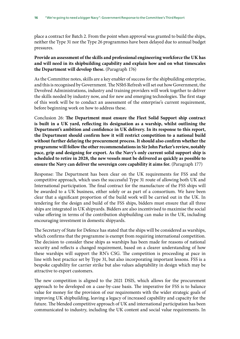place a contract for Batch 2. From the point when approval was granted to build the ships, neither the Type 31 nor the Type 26 programmes have been delayed due to annual budget pressures.

#### **Provide an assessment of the skills and professional engineering workforce the UK has and will need in its shipbuilding capability and explain how and on what timescales the Department will develop these.** (Paragraph 176)

As the Committee notes, skills are a key enabler of success for the shipbuilding enterprise, and this is recognised by Government. The NSbS Refresh will set out how Government, the Devolved Administrations, industry and training providers will work together to deliver the skills needed by industry now, and for new and emerging technologies. The first stage of this work will be to conduct an assessment of the enterprise's current requirement, before beginning work on how to address these.

Conclusion 26: **The Department must ensure the Fleet Solid Support ship contract is built in a UK yard, reflecting its designation as a warship, whilst outlining the Department's ambition and confidence in UK delivery. In its response to this report, the Department should confirm how it will restrict competition to a national build without further delaying the procurement process. It should also confirm whether the programme will follow the other recommendations in Sir John Parker's review, notably pace, grip and designing for export. As the Navy's only current solid support ship is scheduled to retire in 2028, the new vessels must be delivered as quickly as possible to ensure the Navy can deliver the sovereign core capability it aims for.** (Paragraph 177)

Response: The Department has been clear on the UK requirements for FSS and the competitive approach, which uses the successful Type 31 route of allowing both UK and International participation. The final contract for the manufacture of the FSS ships will be awarded to a UK business, either solely or as part of a consortium. We have been clear that a significant proportion of the build work will be carried out in the UK. In tendering for the design and build of the FSS ships, bidders must ensure that all three ships are integrated in UK shipyards. Bidders are also incentivised to maximise the social value offering in terms of the contribution shipbuilding can make in the UK, including encouraging investment in domestic shipyards.

The Secretary of State for Defence has stated that the ships will be considered as warships, which confirms that the programme is exempt from requiring international competition. The decision to consider these ships as warships has been made for reasons of national security and reflects a changed requirement, based on a clearer understanding of how these warships will support the RN's CSG. The competition is proceeding at pace in line with best practice set by Type 31, but also incorporating important lessons. FSS is a bespoke capability for carrier strike but also values adaptability in design which may be attractive to export customers.

The new competition is aligned to the 2021 DSIS, which allows for the procurement approach to be developed on a case-by-case basis. The imperative for FSS is to balance value for money for the provision of our requirements with the wider strategic goals of improving UK shipbuilding, leaving a legacy of increased capability and capacity for the future. The blended competitive approach of UK and international participation has been communicated to industry, including the UK content and social value requirements. In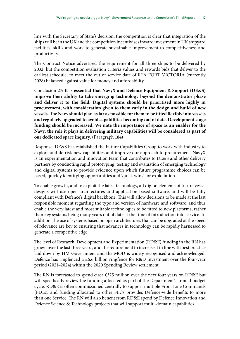line with the Secretary of State's decision, the competition is clear that integration of the ships will be in the UK and the competition incentivises inward investment in UK shipyard facilities, skills and work to generate sustainable improvement to competitiveness and productivity.

The Contract Notice advertised the requirement for all three ships to be delivered by 2032, but the competition evaluation criteria values and rewards bids that deliver to the earliest schedule, to meet the out of service date of RFA FORT VICTORIA (currently 2028) balanced against value for money and affordability.

Conclusion 27: **It is essential that NavyX and Defence Equipment & Support (DE&S) improve their ability to take emerging technology beyond the demonstrator phase and deliver it to the field. Digital systems should be prioritised more highly in procurement, with consideration given to them early in the design and build of new vessels. The Navy should plan as far as possible for them to be fitted flexibly into vessels and regularly upgraded to avoid capabilities becoming out of date. Development stage funding should be increased. We note the importance of space as an enabler for the Navy: the role it plays in delivering military capabilities will be considered as part of our dedicated space inquiry.** (Paragraph 184)

Response: DE&S has established the Future Capabilities Group to work with industry to explore and de-risk new capabilities and improve our approach to procurement. NavyX is an experimentation and innovation team that contributes to DE&S and other delivery partners by conducting rapid prototyping, testing and evaluation of emerging technology and digital systems to provide evidence upon which future programme choices can be based, quickly identifying opportunities and 'quick wins' for exploitation.

To enable growth, and to exploit the latest technology, all digital elements of future vessel designs will use open architectures and application based software, and will be fully compliant with Defence's digital backbone. This will allow decisions to be made at the last responsible moment regarding the type and version of hardware and software, and thus enable the very latest and most suitable technologies to be fitted to new platforms, rather than key systems being many years out of date at the time of introduction into service. In addition, the use of systems based on open architectures that can be upgraded at the speed of relevance are key to ensuring that advances in technology can be rapidly harnessed to generate a competitive edge.

The level of Research, Development and Experimentation (RD&E) funding in the RN has grown over the last three years, and the requirement to increase it in line with best practice laid down by HM Government and the MOD is widely recognised and acknowledged. Defence has ringfenced a £6.6 billion ringfence for R&D investment over the four-year period (2021–2024) within the 2020 Spending Review settlement.

The RN is forecasted to spend circa £325 million over the next four years on RD&E but will specifically review the funding allocated as part of the Department's annual budget cycle. RD&E is often commissioned centrally to support multiple Front Line Commands (FLCs), and funding allocated to other FLCs provides Defence-wide benefits to more than one Service. The RN will also benefit from RD&E spend by Defence Innovation and Defence Science & Technology projects that will support multi-domain capabilities.